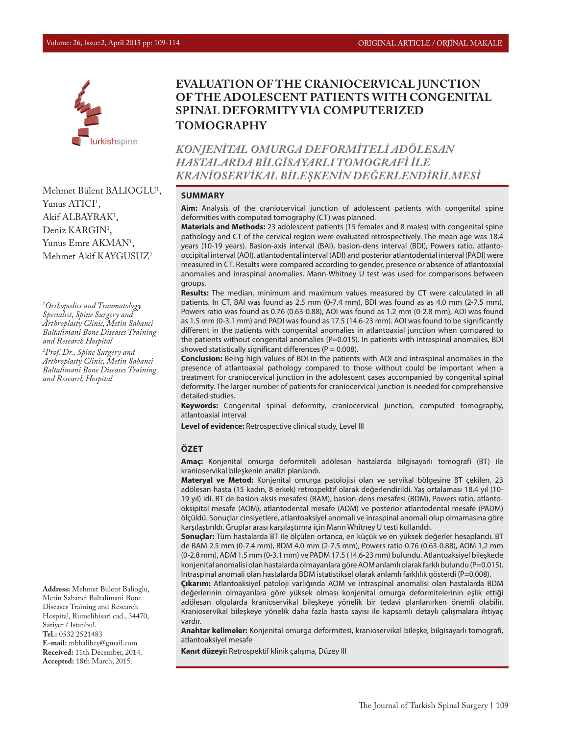

**SPINAL DEFORMITY VIA COMPUTERIZED TOMOGRAPHY**

**EVALUATION OF THE CRANIOCERVICAL JUNCTION OF THE ADOLESCENT PATIENTS WITH CONGENITAL** 

*KONJENİTAL OMURGA DEFORMİTELİ ADÖLESAN HASTALARDA BİLGİSAYARLI TOMOGRAFİ İLE KRANİOSERVİKAL BİLEŞKENİN DEĞERLENDİRİLMESİ*

# Mehmet Bülent BALIOGLU<sup>1</sup>, Yunus ATICI<sup>1</sup>, Akif ALBAYRAK<sup>1</sup>, Deniz KARGIN<sup>1</sup>, Yunus Emre AKMAN<sup>1</sup>, Mehmet Akif KAYGUSUZ2

*1 Orthopedics and Traumatology Specialist, Spine Surgery and Arthroplasty Clinic, Metin Sabanci Baltalimani Bone Diseases Training and Research Hospital*

*2 Prof. Dr., Spine Surgery and Arthroplasty Clinic, Metin Sabanci Baltalimani Bone Diseases Training and Research Hospital*

**Address:** Mehmet Bulent Balioglu, Metin Sabanci Baltalimani Bone Diseases Training and Research Hospital, Rumelihisari cad., 34470, Sariyer / Istanbul. **Tel.:** 0532 2521483 **E-mail:** mbbalibey@gmail.com **Received:** 11th December, 2014. **Accepted:** 18th March, 2015.

#### **SUMMARY**

**Aim:** Analysis of the craniocervical junction of adolescent patients with congenital spine deformities with computed tomography (CT) was planned.

**Materials and Methods:** 23 adolescent patients (15 females and 8 males) with congenital spine pathology and CT of the cervical region were evaluated retrospectively. The mean age was 18.4 years (10-19 years). Basion-axis interval (BAI), basion-dens interval (BDI), Powers ratio, atlantooccipital interval (AOI), atlantodental interval (ADI) and posterior atlantodental interval (PADI) were measured in CT. Results were compared according to gender, presence or absence of atlantoaxial anomalies and inraspinal anomalies. Mann-Whitney U test was used for comparisons between groups.

**Results:** The median, minimum and maximum values measured by CT were calculated in all patients. In CT, BAI was found as 2.5 mm (0-7.4 mm), BDI was found as as 4.0 mm (2-7.5 mm), Powers ratio was found as 0.76 (0.63-0.88), AOI was found as 1.2 mm (0-2.8 mm), ADI was found as 1.5 mm (0-3.1 mm) and PADI was found as 17.5 (14.6-23 mm). AOI was found to be significantly different in the patients with congenital anomalies in atlantoaxial junction when compared to the patients without congenital anomalies (P=0.015). In patients with intraspinal anomalies, BDI showed statistically significant differences ( $P = 0.008$ ).

**Conclusion:** Being high values of BDI in the patients with AOI and intraspinal anomalies in the presence of atlantoaxial pathology compared to those without could be important when a treatment for craniocervical junction in the adolescent cases accompanied by congenital spinal deformity. The larger number of patients for craniocervical junction is needed for comprehensive detailed studies.

**Keywords:** Congenital spinal deformity, craniocervical junction, computed tomography, atlantoaxial interval

**Level of evidence:** Retrospective clinical study, Level III

#### **ÖZET**

**Amaç:** Konjenital omurga deformiteli adölesan hastalarda bilgisayarlı tomografi (BT) ile kranioservikal bileşkenin analizi planlandı.

**Materyal ve Metod:** Konjenital omurga patolojisi olan ve servikal bölgesine BT çekilen, 23 adölesan hasta (15 kadın, 8 erkek) retrospektif olarak değerlendirildi. Yaş ortalaması 18.4 yıl (10- 19 yıl) idi. BT de basion-aksis mesafesi (BAM), basion-dens mesafesi (BDM), Powers ratio, atlantooksipital mesafe (AOM), atlantodental mesafe (ADM) ve posterior atlantodental mesafe (PADM) ölçüldü. Sonuçlar cinsiyetlere, atlantoaksiyel anomali ve inraspinal anomali olup olmamasına göre karşılaştırıldı. Gruplar arası karşılaştırma için Mann Whitney U testi kullanıldı.

**Sonuçlar:** Tüm hastalarda BT ile ölçülen ortanca, en küçük ve en yüksek değerler hesaplandı. BT de BAM 2.5 mm (0-7.4 mm), BDM 4.0 mm (2-7.5 mm), Powers ratio 0.76 (0.63-0.88), AOM 1,2 mm (0-2.8 mm), ADM 1.5 mm (0-3.1 mm) ve PADM 17.5 (14.6-23 mm) bulundu. Atlantoaksiyel bileşkede konjenital anomalisi olan hastalarda olmayanlara göre AOM anlamlı olarak farklı bulundu (P=0.015). İntraspinal anomali olan hastalarda BDM istatistiksel olarak anlamlı farklılık gösterdi (P=0.008).

**Çıkarım:** Atlantoaksiyel patoloji varlığında AOM ve intraspinal anomalisi olan hastalarda BDM değerlerinin olmayanlara göre yüksek olması konjenital omurga deformitelerinin eşlik ettiği adölesan olgularda kranioservikal bileşkeye yönelik bir tedavi planlanırken önemli olabilir. Kranioservikal bileşkeye yönelik daha fazla hasta sayısı ile kapsamlı detaylı çalışmalara ihtiyaç vardır.

**Anahtar kelimeler:** Konjenital omurga deformitesi, kranioservikal bileşke, bilgisayarlı tomografi, atlantoaksiyel mesafe

**Kanıt düzeyi:** Retrospektif klinik çalışma, Düzey III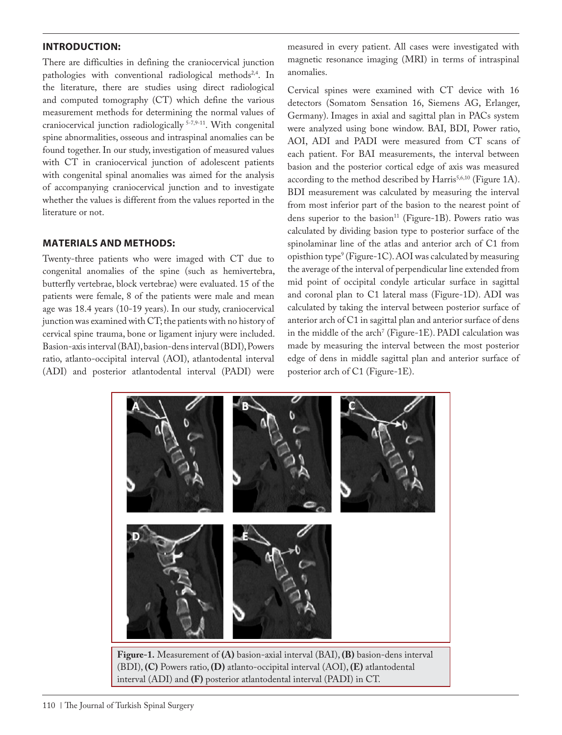## **INTRODUCTION:**

There are difficulties in defining the craniocervical junction pathologies with conventional radiological methods<sup>2,4</sup>. In the literature, there are studies using direct radiological and computed tomography (CT) which define the various measurement methods for determining the normal values of craniocervical junction radiologically 5-7,9-11. With congenital spine abnormalities, osseous and intraspinal anomalies can be found together. In our study, investigation of measured values with CT in craniocervical junction of adolescent patients with congenital spinal anomalies was aimed for the analysis of accompanying craniocervical junction and to investigate whether the values is different from the values reported in the literature or not.

## **MATERIALS AND METHODS:**

Twenty-three patients who were imaged with CT due to congenital anomalies of the spine (such as hemivertebra, butterfly vertebrae, block vertebrae) were evaluated. 15 of the patients were female, 8 of the patients were male and mean age was 18.4 years (10-19 years). In our study, craniocervical junction was examined with CT; the patients with no history of cervical spine trauma, bone or ligament injury were included. Basion-axis interval (BAI), basion-dens interval (BDI), Powers ratio, atlanto-occipital interval (AOI), atlantodental interval (ADI) and posterior atlantodental interval (PADI) were

measured in every patient. All cases were investigated with magnetic resonance imaging (MRI) in terms of intraspinal anomalies.

Cervical spines were examined with CT device with 16 detectors (Somatom Sensation 16, Siemens AG, Erlanger, Germany). Images in axial and sagittal plan in PACs system were analyzed using bone window. BAI, BDI, Power ratio, AOI, ADI and PADI were measured from CT scans of each patient. For BAI measurements, the interval between basion and the posterior cortical edge of axis was measured according to the method described by Harris<sup>5,6,10</sup> (Figure 1A). BDI measurement was calculated by measuring the interval from most inferior part of the basion to the nearest point of dens superior to the basion<sup>11</sup> (Figure-1B). Powers ratio was calculated by dividing basion type to posterior surface of the spinolaminar line of the atlas and anterior arch of C1 from opisthion type9 (Figure-1C). AOI was calculated by measuring the average of the interval of perpendicular line extended from mid point of occipital condyle articular surface in sagittal and coronal plan to C1 lateral mass (Figure-1D). ADI was calculated by taking the interval between posterior surface of anterior arch of C1 in sagittal plan and anterior surface of dens in the middle of the arch' (Figure-1E). PADI calculation was made by measuring the interval between the most posterior edge of dens in middle sagittal plan and anterior surface of posterior arch of C1 (Figure-1E).

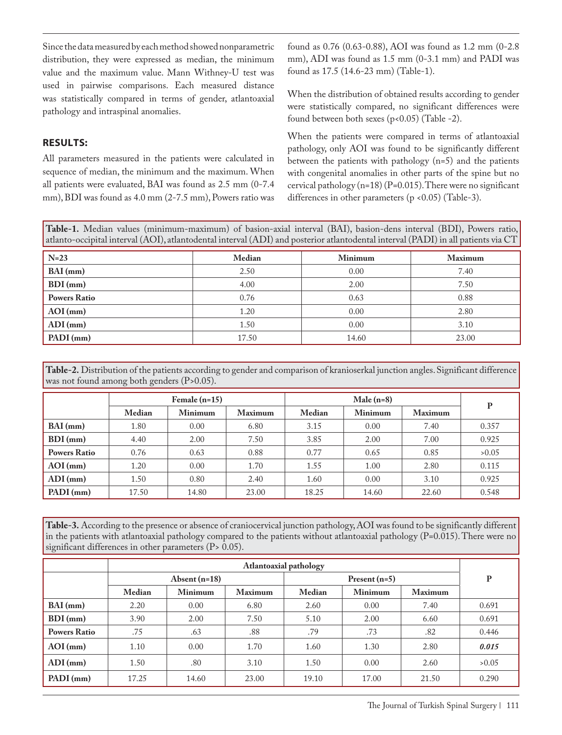Since the data measured by each method showed nonparametric distribution, they were expressed as median, the minimum value and the maximum value. Mann Withney-U test was used in pairwise comparisons. Each measured distance was statistically compared in terms of gender, atlantoaxial pathology and intraspinal anomalies.

found as 0.76 (0.63-0.88), AOI was found as 1.2 mm (0-2.8 mm), ADI was found as 1.5 mm (0-3.1 mm) and PADI was found as 17.5 (14.6-23 mm) (Table-1).

#### **RESULTS:**

All parameters measured in the patients were calculated in sequence of median, the minimum and the maximum. When all patients were evaluated, BAI was found as 2.5 mm (0-7.4 mm), BDI was found as 4.0 mm (2-7.5 mm), Powers ratio was When the distribution of obtained results according to gender were statistically compared, no significant differences were found between both sexes (p<0.05) (Table -2).

When the patients were compared in terms of atlantoaxial pathology, only AOI was found to be significantly different between the patients with pathology (n=5) and the patients with congenital anomalies in other parts of the spine but no cervical pathology (n=18) (P=0.015). There were no significant differences in other parameters (p <0.05) (Table-3).

**Table-1.** Median values (minimum-maximum) of basion-axial interval (BAI), basion-dens interval (BDI), Powers ratio, atlanto-occipital interval (AOI), atlantodental interval (ADI) and posterior atlantodental interval (PADI) in all patients via CT

| $N=23$              | Median | Minimum | <b>Maximum</b> |  |
|---------------------|--------|---------|----------------|--|
| $BAI$ (mm)          | 2.50   | 0.00    | 7.40           |  |
| $BDI$ (mm)          | 4.00   | 2.00    | 7.50           |  |
| <b>Powers Ratio</b> | 0.76   | 0.63    | 0.88           |  |
| $AOI$ (mm)          | 1.20   | 0.00    | 2.80           |  |
| $ADI$ (mm)          | 1.50   | 0.00    | 3.10           |  |
| $PADI$ (mm)         | 17.50  | 14.60   | 23.00          |  |

**Table-2.** Distribution of the patients according to gender and comparison of kranioserkal junction angles. Significant difference was not found among both genders (P>0.05).

|                     | Female $(n=15)$ |                | Male $(n=8)$   |        |                |                |       |
|---------------------|-----------------|----------------|----------------|--------|----------------|----------------|-------|
|                     | Median          | <b>Minimum</b> | <b>Maximum</b> | Median | <b>Minimum</b> | <b>Maximum</b> | P     |
| $BAI$ (mm)          | 1.80            | 0.00           | 6.80           | 3.15   | 0.00           | 7.40           | 0.357 |
| $BDI$ (mm)          | 4.40            | 2.00           | 7.50           | 3.85   | 2.00           | 7.00           | 0.925 |
| <b>Powers Ratio</b> | 0.76            | 0.63           | 0.88           | 0.77   | 0.65           | 0.85           | >0.05 |
| $AOI$ (mm)          | 1.20            | 0.00           | 1.70           | 1.55   | 1.00           | 2.80           | 0.115 |
| $ADI$ (mm)          | 1.50            | 0.80           | 2.40           | 1.60   | 0.00           | 3.10           | 0.925 |
| $PADI$ (mm)         | 17.50           | 14.80          | 23.00          | 18.25  | 14.60          | 22.60          | 0.548 |

**Table-3.** According to the presence or absence of craniocervical junction pathology, AOI was found to be significantly different in the patients with atlantoaxial pathology compared to the patients without atlantoaxial pathology (P=0.015). There were no significant differences in other parameters (P> 0.05).

|                     | Atlantoaxial pathology |                |                |                 |                |                |       |
|---------------------|------------------------|----------------|----------------|-----------------|----------------|----------------|-------|
|                     | Absent $(n=18)$        |                |                | Present $(n=5)$ |                |                | P     |
|                     | Median                 | <b>Minimum</b> | <b>Maximum</b> | Median          | <b>Minimum</b> | <b>Maximum</b> |       |
| $BAI$ (mm)          | 2.20                   | 0.00           | 6.80           | 2.60            | 0.00           | 7.40           | 0.691 |
| $BDI$ (mm)          | 3.90                   | 2.00           | 7.50           | 5.10            | 2.00           | 6.60           | 0.691 |
| <b>Powers Ratio</b> | .75                    | .63            | .88            | .79             | .73            | .82            | 0.446 |
| $AOI$ (mm)          | 1.10                   | 0.00           | 1.70           | 1.60            | 1.30           | 2.80           | 0.015 |
| $ADI$ (mm)          | 1.50                   | .80            | 3.10           | 1.50            | 0.00           | 2.60           | >0.05 |
| $PADI$ (mm)         | 17.25                  | 14.60          | 23.00          | 19.10           | 17.00          | 21.50          | 0.290 |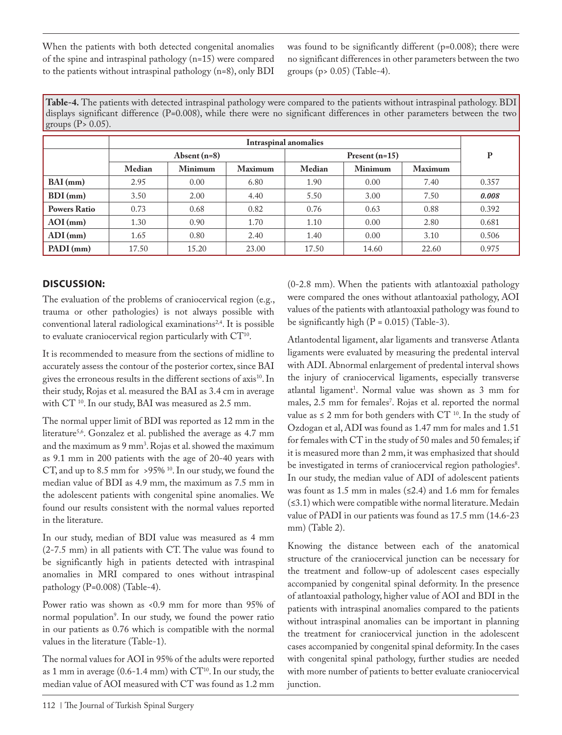When the patients with both detected congenital anomalies of the spine and intraspinal pathology (n=15) were compared to the patients without intraspinal pathology (n=8), only BDI

was found to be significantly different (p=0.008); there were no significant differences in other parameters between the two groups (p> 0.05) (Table-4).

**Table-4.** The patients with detected intraspinal pathology were compared to the patients without intraspinal pathology. BDI displays significant difference (P=0.008), while there were no significant differences in other parameters between the two groups  $(P> 0.05)$ .

|                     | <b>Intraspinal anomalies</b> |                |                |                  |                |                |       |
|---------------------|------------------------------|----------------|----------------|------------------|----------------|----------------|-------|
|                     | Absent $(n=8)$               |                |                | Present $(n=15)$ |                |                | P     |
|                     | Median                       | <b>Minimum</b> | <b>Maximum</b> | Median           | <b>Minimum</b> | <b>Maximum</b> |       |
| $BAI$ (mm)          | 2.95                         | 0.00           | 6.80           | 1.90             | 0.00           | 7.40           | 0.357 |
| $BDI$ (mm)          | 3.50                         | 2.00           | 4.40           | 5.50             | 3.00           | 7.50           | 0.008 |
| <b>Powers Ratio</b> | 0.73                         | 0.68           | 0.82           | 0.76             | 0.63           | 0.88           | 0.392 |
| $AOI$ (mm)          | 1.30                         | 0.90           | 1.70           | 1.10             | 0.00           | 2.80           | 0.681 |
| $ADI$ (mm)          | 1.65                         | 0.80           | 2.40           | 1.40             | 0.00           | 3.10           | 0.506 |
| PADI (mm)           | 17.50                        | 15.20          | 23.00          | 17.50            | 14.60          | 22.60          | 0.975 |

## **DISCUSSION:**

The evaluation of the problems of craniocervical region (e.g., trauma or other pathologies) is not always possible with conventional lateral radiological examinations<sup>2,4</sup>. It is possible to evaluate craniocervical region particularly with CT<sup>10</sup>.

It is recommended to measure from the sections of midline to accurately assess the contour of the posterior cortex, since BAI gives the erroneous results in the different sections of axis<sup>10</sup>. In their study, Rojas et al. measured the BAI as 3.4 cm in average with CT 10. In our study, BAI was measured as 2.5 mm.

The normal upper limit of BDI was reported as 12 mm in the literature<sup>5,6</sup>. Gonzalez et al. published the average as 4.7 mm and the maximum as 9 mm<sup>3</sup>. Rojas et al. showed the maximum as 9.1 mm in 200 patients with the age of 20-40 years with CT, and up to 8.5 mm for >95%<sup>10</sup>. In our study, we found the median value of BDI as 4.9 mm, the maximum as 7.5 mm in the adolescent patients with congenital spine anomalies. We found our results consistent with the normal values reported in the literature.

In our study, median of BDI value was measured as 4 mm (2-7.5 mm) in all patients with CT. The value was found to be significantly high in patients detected with intraspinal anomalies in MRI compared to ones without intraspinal pathology (P=0.008) (Table-4).

Power ratio was shown as <0.9 mm for more than 95% of normal population9 . In our study, we found the power ratio in our patients as 0.76 which is compatible with the normal values in the literature (Table-1).

The normal values for AOI in 95% of the adults were reported as 1 mm in average (0.6-1.4 mm) with  $CT^{10}$ . In our study, the median value of AOI measured with CT was found as 1.2 mm

(0-2.8 mm). When the patients with atlantoaxial pathology were compared the ones without atlantoaxial pathology, AOI values of the patients with atlantoaxial pathology was found to be significantly high  $(P = 0.015)$  (Table-3).

Atlantodental ligament, alar ligaments and transverse Atlanta ligaments were evaluated by measuring the predental interval with ADI. Abnormal enlargement of predental interval shows the injury of craniocervical ligaments, especially transverse atlantal ligament<sup>1</sup>. Normal value was shown as 3 mm for males, 2.5 mm for females<sup>7</sup>. Rojas et al. reported the normal value as  $\leq 2$  mm for both genders with CT<sup>10</sup>. In the study of Ozdogan et al, ADI was found as 1.47 mm for males and 1.51 for females with CT in the study of 50 males and 50 females; if it is measured more than 2 mm, it was emphasized that should be investigated in terms of craniocervical region pathologies<sup>8</sup>. In our study, the median value of ADI of adolescent patients was fount as 1.5 mm in males  $(\leq 2.4)$  and 1.6 mm for females (≤3.1) which were compatible withe normal literature. Medain value of PADI in our patients was found as 17.5 mm (14.6-23 mm) (Table 2).

Knowing the distance between each of the anatomical structure of the craniocervical junction can be necessary for the treatment and follow-up of adolescent cases especially accompanied by congenital spinal deformity. In the presence of atlantoaxial pathology, higher value of AOI and BDI in the patients with intraspinal anomalies compared to the patients without intraspinal anomalies can be important in planning the treatment for craniocervical junction in the adolescent cases accompanied by congenital spinal deformity. In the cases with congenital spinal pathology, further studies are needed with more number of patients to better evaluate craniocervical junction.